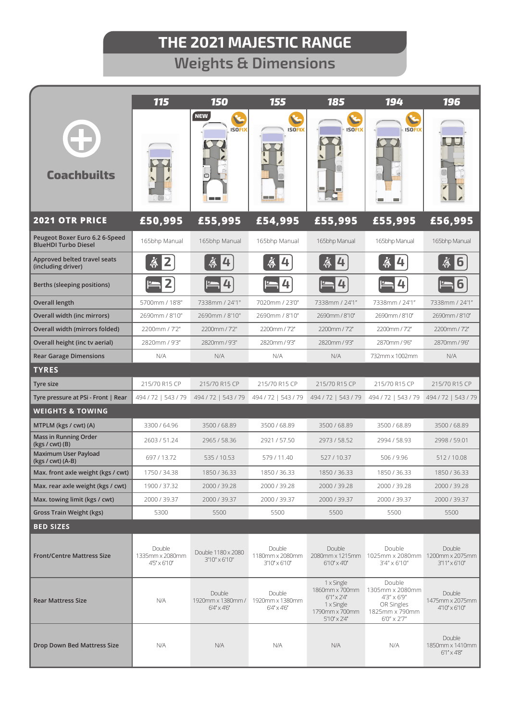**Weights & Dimensions**

|                                                               | <b>115</b><br>150<br>155<br>185                   |                                                     | 194                                               | <b>196</b>                                                                                                    |                                                                                                  |                                                     |
|---------------------------------------------------------------|---------------------------------------------------|-----------------------------------------------------|---------------------------------------------------|---------------------------------------------------------------------------------------------------------------|--------------------------------------------------------------------------------------------------|-----------------------------------------------------|
| <b>Coachbuilts</b>                                            |                                                   | <b>NEW</b><br><b>ISOFIX</b><br>o                    | <b>ISOFIX</b><br><b>College</b>                   | <b>ISOFIX</b>                                                                                                 | <b>ISOFIX</b><br><b>College</b>                                                                  |                                                     |
| <b>2021 OTR PRICE</b>                                         | £50,995                                           | £55,995                                             | £54,995                                           | £55,995                                                                                                       | £55,995                                                                                          | £56,995                                             |
| Peugeot Boxer Euro 6.2 6-Speed<br><b>BlueHDI Turbo Diesel</b> | 165bhp Manual                                     | 165bhp Manual                                       | 165bhp Manual                                     | 165bhp Manual                                                                                                 | 165bhp Manual                                                                                    | 165bhp Manual                                       |
| Approved belted travel seats<br>(including driver)            | Ă<br>2                                            | Ă<br>4                                              | Ă<br>4                                            | ġ,<br>4                                                                                                       | Ä<br>4                                                                                           | 6                                                   |
| Berths (sleeping positions)                                   |                                                   |                                                     | ᠘                                                 | 4                                                                                                             | 4                                                                                                |                                                     |
| Overall length                                                | 5700mm / 18'8"                                    | 7338mm / 24'1"                                      | 7020mm / 23'0"                                    | 7338mm / 24'1"                                                                                                | 7338mm / 24'1"                                                                                   | 7338mm / 24'1"                                      |
| Overall width (inc mirrors)                                   | 2690mm / 8'10"                                    | 2690mm / 8'10"                                      | 2690mm / 8'10"                                    | 2690mm / 8'10"                                                                                                | 2690mm / 8'10"                                                                                   | 2690mm / 8'10"                                      |
| Overall width (mirrors folded)                                | 2200mm / 7'2"                                     | 2200mm / 7'2"                                       | 2200mm / 7'2"                                     | 2200mm / 7'2"                                                                                                 | 2200mm / 7'2"                                                                                    | 2200mm / 7'2"                                       |
| Overall height (inc tv aerial)                                | 2820mm / 9'3"                                     | 2820mm/9'3"                                         | 2820mm / 9'3"                                     | 2820mm/93"                                                                                                    | 2870mm / 9'6"                                                                                    | 2870mm/9'6"                                         |
| <b>Rear Garage Dimensions</b>                                 | N/A                                               | N/A                                                 | N/A                                               | N/A                                                                                                           | 732mm x 1002mm                                                                                   | N/A                                                 |
| <b>TYRES</b>                                                  |                                                   |                                                     |                                                   |                                                                                                               |                                                                                                  |                                                     |
| Tyre size                                                     | 215/70 R15 CP                                     | 215/70 R15 CP                                       | 215/70 R15 CP                                     | 215/70 R15 CP                                                                                                 | 215/70 R15 CP                                                                                    | 215/70 R15 CP                                       |
| Tyre pressure at PSi - Front   Rear                           | 494 / 72   543 / 79                               | 494 / 72   543 / 79                                 | 494 / 72   543 / 79                               | 494 / 72   543 / 79                                                                                           | 494 / 72   543 / 79                                                                              | 494 / 72   543 / 79                                 |
| <b>WEIGHTS &amp; TOWING</b>                                   |                                                   |                                                     |                                                   |                                                                                                               |                                                                                                  |                                                     |
| MTPLM (kgs / cwt) (A)                                         | 3300 / 64.96                                      | 3500 / 68.89                                        | 3500 / 68.89                                      | 3500 / 68.89                                                                                                  | 3500 / 68.89                                                                                     | 3500 / 68.89                                        |
| Mass in Running Order<br>$(kgs / cwt)$ $(B)$                  | 2603 / 51.24                                      | 2965 / 58.36                                        | 2921 / 57.50                                      | 2973 / 58.52                                                                                                  | 2994 / 58.93                                                                                     | 2998 / 59.01                                        |
| <b>Maximum User Payload</b><br>(kgs / cwt) (A-B)              | 697/13.72                                         | 535 / 10.53                                         | 579 / 11.40                                       | 527/10.37                                                                                                     | 506/9.96                                                                                         | 512/10.08                                           |
| Max. front axle weight (kgs / cwt)                            | 1750 / 34.38                                      | 1850 / 36.33                                        | 1850 / 36.33                                      | 1850 / 36.33                                                                                                  | 1850 / 36.33                                                                                     | 1850 / 36.33                                        |
| Max. rear axle weight (kgs / cwt)                             | 1900 / 37.32                                      | 2000 / 39.28                                        | 2000 / 39.28                                      | 2000 / 39.28                                                                                                  | 2000 / 39.28                                                                                     | 2000 / 39.28                                        |
| Max. towing limit (kgs / cwt)                                 | 2000 / 39.37                                      | 2000 / 39.37                                        | 2000 / 39.37                                      | 2000 / 39.37                                                                                                  | 2000 / 39.37                                                                                     | 2000 / 39.37                                        |
| <b>Gross Train Weight (kgs)</b>                               | 5300                                              | 5500                                                | 5500                                              | 5500                                                                                                          | 5500                                                                                             | 5500                                                |
| <b>BED SIZES</b>                                              |                                                   |                                                     |                                                   |                                                                                                               |                                                                                                  |                                                     |
| <b>Front/Centre Mattress Size</b>                             | Double<br>1335mm x 2080mm<br>$4'5' \times 6'10''$ | Double 1180 x 2080<br>3'10" x 6'10"                 | Double<br>1180mm x 2080mm<br>3'10" x 6'10"        | Double<br>$6'10'' \times 4'0''$                                                                               | Double<br>2080mm x 1215mm 1025mm x 2080mm 1200mm x 2075mm<br>3'4" x 6'10"                        | Double<br>$3'11'' \times 6'10''$                    |
| <b>Rear Mattress Size</b>                                     | N/A                                               | Double<br>1920mm x 1380mm /<br>$6'4'' \times 4'6''$ | Double<br>1920mm x 1380mm<br>$6'4'' \times 4'6''$ | 1 x Single<br>1860mm x 700mm<br>$6'1'' \times 2'4''$<br>1 x Single<br>1790mm x 700mm<br>$5'10'' \times 2'4''$ | Double<br>1305mm x 2080mm<br>4'3" x 6'9"<br>OR Singles<br>1825mm x 790mm<br>$6'0'' \times 2'7''$ | Double<br>1475mm x 2075mm<br>$4'10'' \times 6'10''$ |
| Drop Down Bed Mattress Size                                   | N/A                                               | N/A                                                 | N/A                                               | N/A                                                                                                           | N/A                                                                                              | Double<br>1850mm x 1410mm<br>$6'1'' \times 4'8''$   |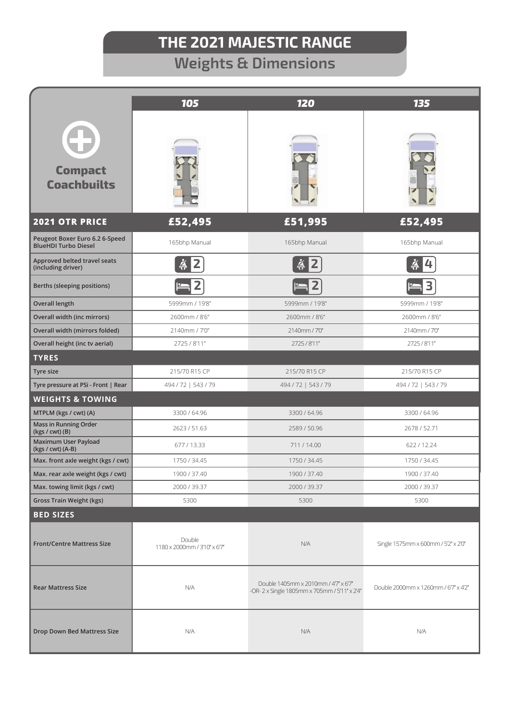# **Weights & Dimensions**

|                                                               | 105                                    | 120                                                                                  | 135                                 |  |
|---------------------------------------------------------------|----------------------------------------|--------------------------------------------------------------------------------------|-------------------------------------|--|
| <b>Compact</b><br><b>Coachbuilts</b>                          |                                        |                                                                                      |                                     |  |
| <b>2021 OTR PRICE</b>                                         | £52,495                                | £51,995                                                                              | £52,495                             |  |
| Peugeot Boxer Euro 6.2 6-Speed<br><b>BlueHDI Turbo Diesel</b> | 165bhp Manual                          | 165bhp Manual                                                                        | 165bhp Manual                       |  |
| Approved belted travel seats<br>(including driver)            | Ä                                      | $\breve{\mathbf{\hat{A}}}$<br>2                                                      | Ä<br>4                              |  |
| Berths (sleeping positions)                                   | 2                                      | 2                                                                                    | 3                                   |  |
| <b>Overall length</b>                                         | 5999mm / 19'8"                         | 5999mm / 19'8"                                                                       | 5999mm / 19'8"                      |  |
| <b>Overall width (inc mirrors)</b>                            | 2600mm / 8'6"                          | 2600mm / 8'6"                                                                        | 2600mm / 8'6"                       |  |
| Overall width (mirrors folded)                                | 2140mm / 7'0"                          | 2140mm / 7'0"                                                                        | 2140mm / 7'0"                       |  |
| Overall height (inc tv aerial)                                | 2725 / 8'11"                           | 2725/8'11"                                                                           | 2725/8'11"                          |  |
| <b>TYRES</b>                                                  |                                        |                                                                                      |                                     |  |
| Tyre size                                                     | 215/70 R15 CP                          | 215/70 R15 CP                                                                        | 215/70 R15 CP                       |  |
| Tyre pressure at PSi - Front   Rear                           | 494 / 72   543 / 79                    | 494 / 72   543 / 79                                                                  | 494 / 72   543 / 79                 |  |
| <b>WEIGHTS &amp; TOWING</b>                                   |                                        |                                                                                      |                                     |  |
| MTPLM (kgs / cwt) (A)                                         | 3300 / 64.96                           | 3300 / 64.96                                                                         | 3300 / 64.96                        |  |
| Mass in Running Order<br>(kgs / cwt) (B)                      | 2623 / 51.63                           | 2589 / 50.96                                                                         | 2678 / 52.71                        |  |
| Maximum User Payload<br>(kgs / cwt) (A-B)                     | 677/13.33                              | 711/14.00                                                                            | 622/12.24                           |  |
| Max. front axle weight (kgs / cwt)                            | 1750 / 34.45                           | 1750 / 34.45                                                                         | 1750 / 34.45                        |  |
| Max. rear axle weight (kgs / cwt)                             | 1900 / 37.40                           | 1900 / 37.40                                                                         | 1900 / 37.40                        |  |
| Max. towing limit (kgs / cwt)                                 | 2000 / 39.37                           | 2000 / 39.37                                                                         | 2000 / 39.37                        |  |
| <b>Gross Train Weight (kgs)</b>                               | 5300                                   | 5300                                                                                 | 5300                                |  |
| <b>BED SIZES</b>                                              |                                        |                                                                                      |                                     |  |
| <b>Front/Centre Mattress Size</b>                             | Double<br>1180 x 2000mm / 3'10" x 6'7" | N/A                                                                                  | Single 1575mm x 600mm / 5'2" x 2'0" |  |
| <b>Rear Mattress Size</b>                                     | N/A                                    | Double 1405mm x 2010mm / 4'7" x 6'7"<br>-OR-2 x Single 1805mm x 705mm / 5'11" x 2'4" | Double 2000mm x 1260mm / 67" x 4'2" |  |
| <b>Drop Down Bed Mattress Size</b>                            | N/A                                    | N/A                                                                                  | N/A                                 |  |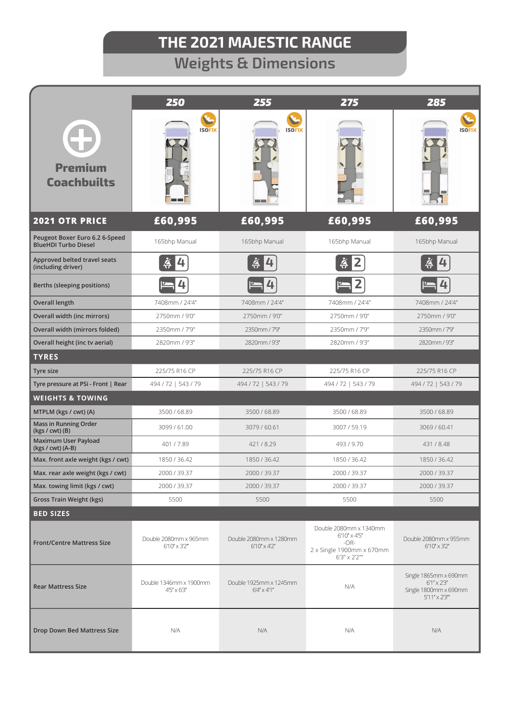# **Weights & Dimensions**

|                                                               | 250                                            | 255                                             | 275                                                                                                    | 285                                                                                              |
|---------------------------------------------------------------|------------------------------------------------|-------------------------------------------------|--------------------------------------------------------------------------------------------------------|--------------------------------------------------------------------------------------------------|
| <b>Premium</b><br><b>Coachbuilts</b>                          | <b>ISOFIX</b>                                  | <b>ISOFIX</b><br><b>Contract</b>                |                                                                                                        | <b>ISOFIX</b>                                                                                    |
| <b>2021 OTR PRICE</b>                                         | £60,995                                        | £60,995                                         | £60,995                                                                                                | £60,995                                                                                          |
| Peugeot Boxer Euro 6.2 6-Speed<br><b>BlueHDI Turbo Diesel</b> | 165bhp Manual                                  | 165bhp Manual                                   | 165bhp Manual                                                                                          | 165bhp Manual                                                                                    |
| Approved belted travel seats<br>(including driver)            | Ä<br>4                                         |                                                 | ä                                                                                                      | Ă                                                                                                |
| Berths (sleeping positions)                                   | 4                                              | 4                                               |                                                                                                        |                                                                                                  |
| <b>Overall length</b>                                         | 7408mm / 24'4"                                 | 7408mm / 24'4"                                  | 7408mm / 24'4"                                                                                         | 7408mm / 24'4"                                                                                   |
| Overall width (inc mirrors)                                   | 2750mm / 9'0"                                  | 2750mm / 9'0"                                   | 2750mm / 9'0"                                                                                          | 2750mm / 9'0"                                                                                    |
| Overall width (mirrors folded)                                | 2350mm / 7'9"                                  | 2350mm / 7'9"                                   | 2350mm / 7'9"                                                                                          | 2350mm / 7'9"                                                                                    |
| Overall height (inc tv aerial)                                | 2820mm / 9'3"                                  | 2820mm / 9'3"                                   | 2820mm / 9'3"                                                                                          | 2820mm / 9'3"                                                                                    |
| <b>TYRES</b>                                                  |                                                |                                                 |                                                                                                        |                                                                                                  |
| Tyre size                                                     | 225/75 R16 CP                                  | 225/75 R16 CP                                   | 225/75 R16 CP                                                                                          | 225/75 R16 CP                                                                                    |
| Tyre pressure at PSi - Front   Rear                           | 494 / 72   543 / 79                            | 494 / 72   543 / 79                             | 494 / 72   543 / 79                                                                                    | 494 / 72   543 / 79                                                                              |
| <b>WEIGHTS &amp; TOWING</b>                                   |                                                |                                                 |                                                                                                        |                                                                                                  |
| MTPLM (kgs / cwt) (A)                                         | 3500 / 68.89                                   | 3500 / 68.89                                    | 3500 / 68.89                                                                                           | 3500 / 68.89                                                                                     |
| <b>Mass in Running Order</b><br>$(kgs / cwt)$ $(B)$           | 3099 / 61.00                                   | 3079 / 60.61                                    | 3007 / 59.19                                                                                           | 3069 / 60.41                                                                                     |
| Maximum User Payload<br>(kgs / cwt) (A-B)                     | 401/7.89                                       | 421/8.29                                        | 493/9.70                                                                                               | 431/8.48                                                                                         |
| Max. front axle weight (kgs / cwt)                            | 1850 / 36.42                                   | 1850 / 36.42                                    | 1850 / 36.42                                                                                           | 1850 / 36.42                                                                                     |
| Max. rear axle weight (kgs / cwt)                             | 2000 / 39.37                                   | 2000 / 39.37                                    | 2000 / 39.37                                                                                           | 2000 / 39.37                                                                                     |
| Max. towing limit (kgs / cwt)                                 | 2000 / 39.37                                   | 2000 / 39.37                                    | 2000 / 39.37                                                                                           | 2000 / 39.37                                                                                     |
| <b>Gross Train Weight (kgs)</b>                               | 5500                                           | 5500                                            | 5500                                                                                                   | 5500                                                                                             |
| <b>BED SIZES</b>                                              |                                                |                                                 |                                                                                                        |                                                                                                  |
| <b>Front/Centre Mattress Size</b>                             | Double 2080mm x 965mm<br>$6'10'' \times 3'2''$ | Double 2080mm x 1280mm<br>$6'10'' \times 4'2''$ | Double 2080mm x 1340mm<br>$6'10'' \times 4'5''$<br>$-OR-$<br>2 x Single 1900mm x 670mm<br>6'3" x 2'2"" | Double 2080mm x 955mm<br>$6'10'' \times 3'2''$                                                   |
| <b>Rear Mattress Size</b>                                     | Double 1346mm x 1900mm<br>$4'5'' \times 6'3''$ | Double 1925mm x 1245mm<br>$6'4'' \times 4'1''$  | N/A                                                                                                    | Single 1865mm x 690mm<br>$6'1'' \times 2'3''$<br>Single 1800mm x 690mm<br>$5'11'' \times 2'3'''$ |
| <b>Drop Down Bed Mattress Size</b>                            | N/A                                            | N/A                                             | N/A                                                                                                    | N/A                                                                                              |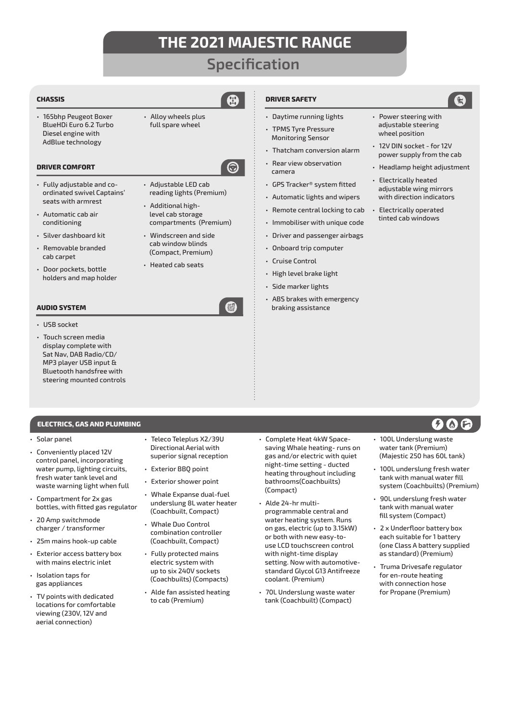## **Specification**

**DRIVER SAFETY**

camera

• Cruise Control • High level brake light • Side marker lights

• Daytime running lights • TPMS Tyre Pressure Monitoring Sensor

• Thatcham conversion alarm • Rear view observation

• GPS Tracker® system fitted • Automatic lights and wipers • Remote central locking to cab • Immobiliser with unique code • Driver and passenger airbags • Onboard trip computer

• ABS brakes with emergency braking assistance

### **CHASSIS**

• 165bhp Peugeot Boxer BlueHDi Euro 6.2 Turbo Diesel engine with AdBlue technology

### **DRIVER COMFORT**

- Fully adjustable and coordinated swivel Captains' seats with armrest
- Automatic cab air conditioning
- Silver dashboard kit
- Removable branded cab carpet
- Door pockets, bottle holders and map holder

• Alloy wheels plus full spare wheel

### ଚ

- Adjustable LED cab reading lights (Premium)
- Additional highlevel cab storage compartments (Premium) • Windscreen and side
- cab window blinds (Compact, Premium)
- Heated cab seats

### **AUDIO SYSTEM**

- USB socket
- Touch screen media display complete with Sat Nav, DAB Radio/CD/ MP3 player USB input & Bluetooth handsfree with steering mounted controls

### **ELECTRICS, GAS AND PLUMBING**

#### • Solar panel

- Conveniently placed 12V control panel, incorporating water pump, lighting circuits, fresh water tank level and waste warning light when full
- Compartment for 2x gas bottles, with fitted gas regulator
- 20 Amp switchmode charger / transformer
- 25m mains hook-up cable
- Exterior access battery box with mains electric inlet
- Isolation taps for gas appliances
- TV points with dedicated locations for comfortable viewing (230V, 12V and aerial connection)
- Teleco Teleplus X2/39U Directional Aerial with superior signal reception
- Exterior BBQ point
- Exterior shower point
- Whale Expanse dual-fuel underslung 8L water heater (Coachbuilt, Compact)
- Whale Duo Control combination controller (Coachbuilt, Compact)
- Fully protected mains electric system with up to six 240V sockets (Coachbuilts) (Compacts)
- Alde fan assisted heating to cab (Premium)
- Complete Heat 4kW Spacesaving Whale heating- runs on gas and/or electric with quiet night-time setting - ducted heating throughout including bathrooms(Coachbuilts) (Compact)
- Alde 24-hr multiprogrammable central and water heating system. Runs on gas, electric (up to 3.15kW) or both with new easy-touse LCD touchscreen control with night-time display setting. Now with automotivestandard Glycol G13 Antifreeze coolant. (Premium)
- 70L Underslung waste water tank (Coachbuilt) (Compact)
- Power steering with adjustable steering wheel position
- 12V DIN socket for 12V power supply from the cab
- Headlamp height adjustment
- Electrically heated adjustable wing mirrors with direction indicators
- Electrically operated tinted cab windows

### $O$  (a)  $\Theta$

- 100L Underslung waste water tank (Premium) (Majestic 250 has 60L tank)
- 100L underslung fresh water tank with manual water fill system (Coachbuilts) (Premium)
- 90L underslung fresh water tank with manual water fill system (Compact)
- 2 x Underfloor battery box each suitable for 1 battery (one Class A battery supplied as standard) (Premium)
- Truma Drivesafe regulator for en-route heating with connection hose for Propane (Premium)

**R**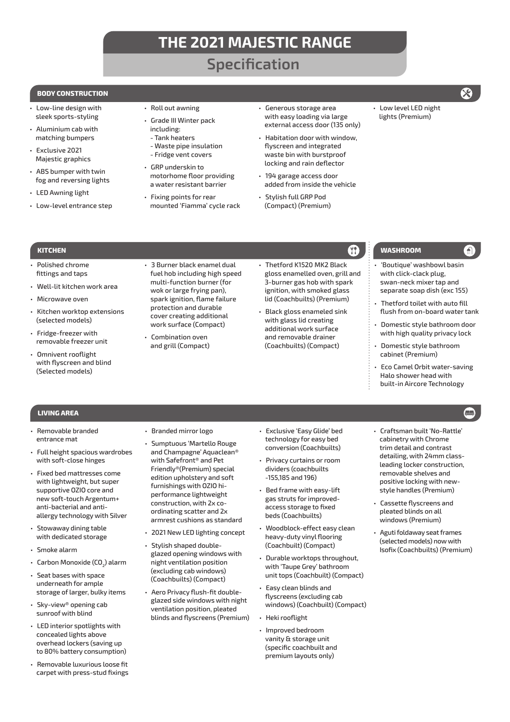# **Specification**

### **BODY CONSTRUCTION**

- Low-line design with sleek sports-styling
- Aluminium cab with matching bumpers
- Exclusive 2021 Majestic graphics
- ABS bumper with twin fog and reversing lights
- LED Awning light

Polished chrome fittings and taps

• Microwave oven

(selected models) • Fridge-freezer with removable freezer unit • Omnivent rooflight with flyscreen and blind (Selected models)

• Well-lit kitchen work area

• Kitchen worktop extensions

• Low-level entrance step

- Roll out awning
- Grade III Winter pack
	- including: - Tank heaters
- Waste pipe insulation
- Fridge vent covers
- GRP underskin to motorhome floor providing a water resistant barrier
- Fixing points for rear mounted 'Fiamma' cycle rack

• 3 Burner black enamel dual fuel hob including high speed multi-function burner (for wok or large frying pan), spark ignition, flame failure protection and durable cover creating additional work surface (Compact)

**KITCHEN WASHROOM**

- Generous storage area with easy loading via large external access door (135 only)
- Habitation door with window, flyscreen and integrated waste bin with burstproof locking and rain deflector
- 194 garage access door added from inside the vehicle
- Stylish full GRP Pod (Compact) (Premium)

• Thetford K1520 MK2 Black gloss enamelled oven, grill and 3-burner gas hob with spark ignition, with smoked glass lid (Coachbuilts) (Premium) • Black gloss enameled sink with glass lid creating additional work surface and removable drainer (Coachbuilts) (Compact)

• Low level LED night lights (Premium)

- 'Boutique' washbowl basin with click-clack plug, swan-neck mixer tap and separate soap dish (exc 155)
- Thetford toilet with auto fill flush from on-board water tank
- Domestic style bathroom door with high quality privacy lock
- Domestic style bathroom cabinet (Premium)
- Eco Camel Orbit water-saving Halo shower head with built-in Aircore Technology

### **LIVING AREA**

- Removable branded entrance mat
- Full height spacious wardrobes with soft-close hinges
- Fixed bed mattresses come with lightweight, but super supportive OZIO core and new soft-touch Argentum+ anti-bacterial and antiallergy technology with Silver
- Stowaway dining table with dedicated storage
- Smoke alarm
- Carbon Monoxide (CO<sub>2</sub>) alarm
- Seat bases with space underneath for ample storage of larger, bulky items
- Sky-view® opening cab sunroof with blind
- LED interior spotlights with concealed lights above overhead lockers (saving up to 80% battery consumption)
- Removable luxurious loose fit carpet with press-stud fixings

• Branded mirror logo

• Combination oven and grill (Compact)

- Sumptuous 'Martello Rouge and Champagne' Aquaclean® with Safefront® and Pet Friendly®(Premium) special edition upholstery and soft furnishings with OZIO hiperformance lightweight construction, with 2x coordinating scatter and 2x armrest cushions as standard
- 2021 New LED lighting concept
- Stylish shaped doubleglazed opening windows with night ventilation position (excluding cab windows) (Coachbuilts) (Compact)
- Aero Privacy flush-fit doubleglazed side windows with night ventilation position, pleated blinds and flyscreens (Premium)
- Exclusive 'Easy Glide' bed technology for easy bed conversion (Coachbuilts)
- Privacy curtains or room dividers (coachbuilts -155,185 and 196)
- Bed frame with easy-lift gas struts for improvedaccess storage to fixed beds (Coachbuilts)
- Woodblock-effect easy clean heavy-duty vinyl flooring (Coachbuilt) (Compact)
- Durable worktops throughout, with 'Taupe Grey' bathroom unit tops (Coachbuilt) (Compact)
- Easy clean blinds and flyscreens (excluding cab windows) (Coachbuilt) (Compact)
- Heki rooflight
- Improved bedroom vanity & storage unit (specific coachbuilt and premium layouts only)
- Craftsman built 'No-Rattle' cabinetry with Chrome trim detail and contrast detailing, with 24mm classleading locker construction, removable shelves and positive locking with newstyle handles (Premium)
- Cassette flyscreens and pleated blinds on all windows (Premium)
- Aguti foldaway seat frames (selected models) now with Isofix (Coachbuilts) (Premium)